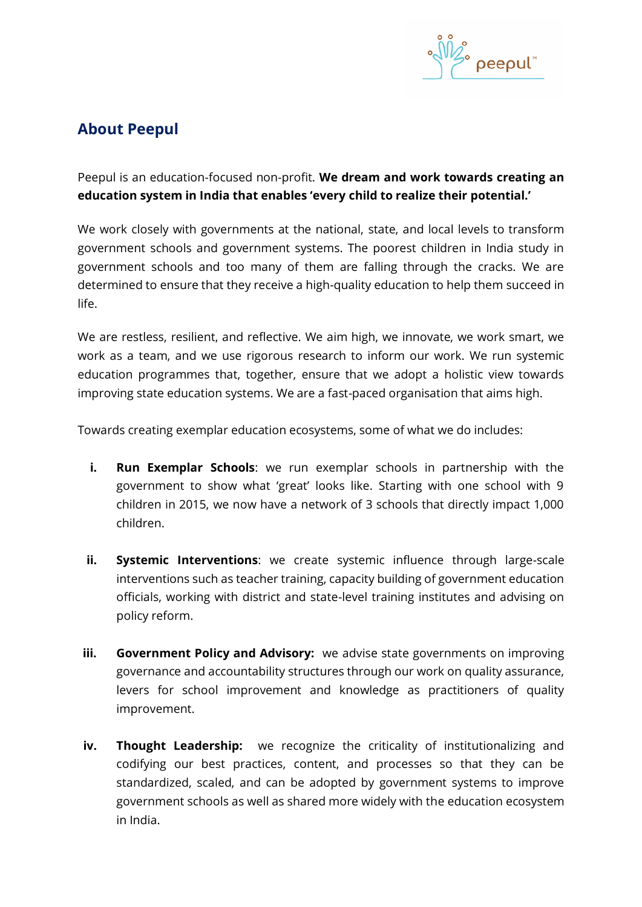

# **About Peepul**

Peepul is an education-focused non-profit. **We dream and work towards creating an education system in India that enables 'every child to realize their potential.'**

We work closely with governments at the national, state, and local levels to transform government schools and government systems. The poorest children in India study in government schools and too many of them are falling through the cracks. We are determined to ensure that they receive a high-quality education to help them succeed in life.

We are restless, resilient, and reflective. We aim high, we innovate, we work smart, we work as a team, and we use rigorous research to inform our work. We run systemic education programmes that, together, ensure that we adopt a holistic view towards improving state education systems. We are a fast-paced organisation that aims high.

Towards creating exemplar education ecosystems, some of what we do includes:

- **i. Run Exemplar Schools**: we run exemplar schools in partnership with the government to show what 'great' looks like. Starting with one school with 9 children in 2015, we now have a network of 3 schools that directly impact 1,000 children.
- **ii.** Systemic Interventions: we create systemic influence through large-scale interventions such as teacher training, capacity building of government education officials, working with district and state-level training institutes and advising on policy reform.
- **iii. Government Policy and Advisory:** we advise state governments on improving governance and accountability structures through our work on quality assurance, levers for school improvement and knowledge as practitioners of quality improvement.
- **iv. Thought Leadership:** we recognize the criticality of institutionalizing and codifying our best practices, content, and processes so that they can be standardized, scaled, and can be adopted by government systems to improve government schools as well as shared more widely with the education ecosystem in India.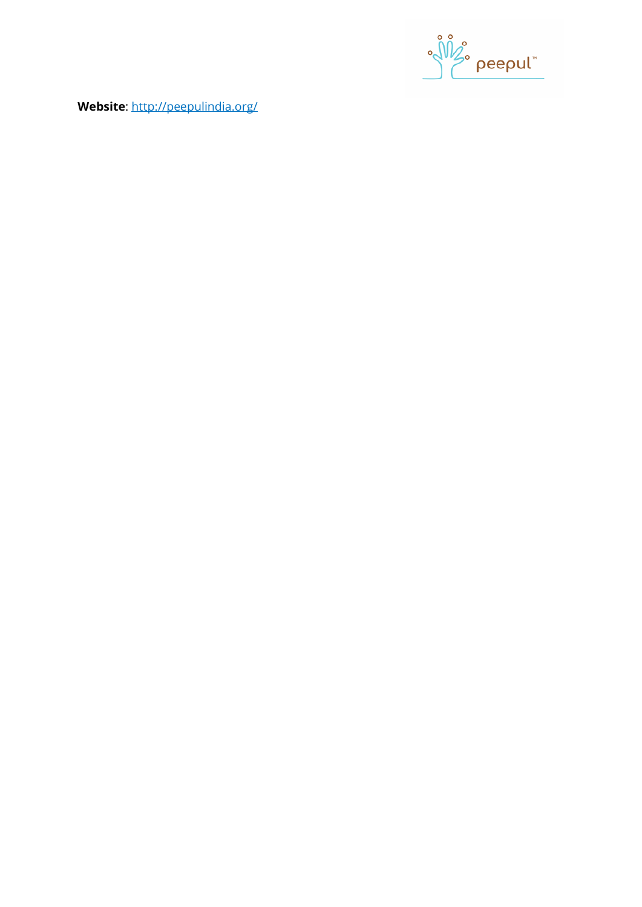

**Website**:<http://peepulindia.org/>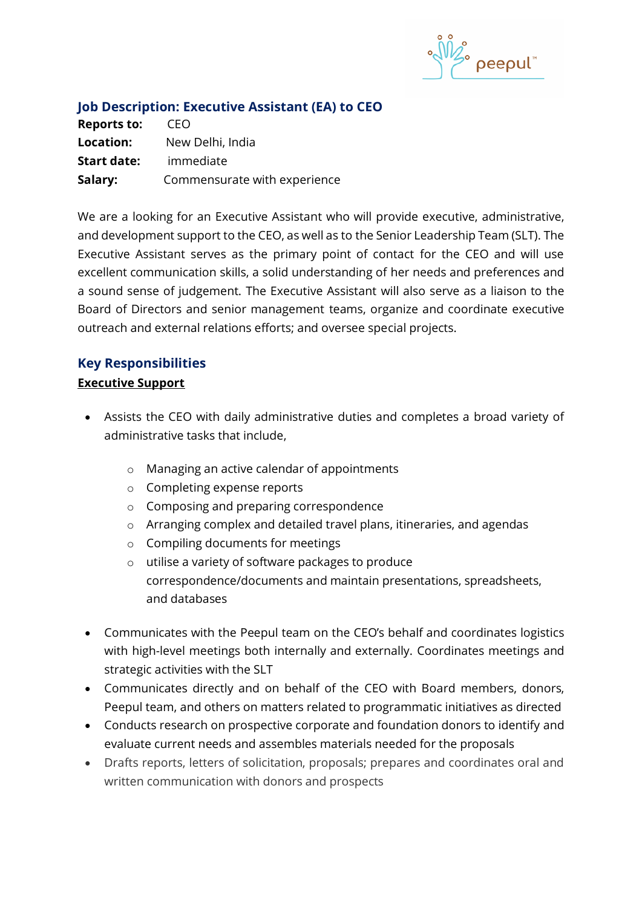

| <b>Job Description: Executive Assistant (EA) to CEO</b> |  |
|---------------------------------------------------------|--|
| - CEO                                                   |  |
| New Delhi, India                                        |  |
| immediate                                               |  |
|                                                         |  |

**Salary:** Commensurate with experience

We are a looking for an Executive Assistant who will provide executive, administrative, and development support to the CEO, as well as to the Senior Leadership Team (SLT). The Executive Assistant serves as the primary point of contact for the CEO and will use excellent communication skills, a solid understanding of her needs and preferences and a sound sense of judgement. The Executive Assistant will also serve as a liaison to the Board of Directors and senior management teams, organize and coordinate executive outreach and external relations efforts; and oversee special projects.

## **Key Responsibilities**

## **Executive Support**

- Assists the CEO with daily administrative duties and completes a broad variety of administrative tasks that include,
	- o Managing an active calendar of appointments
	- o Completing expense reports
	- o Composing and preparing correspondence
	- o Arranging complex and detailed travel plans, itineraries, and agendas
	- o Compiling documents for meetings
	- o utilise a variety of software packages to produce correspondence/documents and maintain presentations, spreadsheets, and databases
- Communicates with the Peepul team on the CEO's behalf and coordinates logistics with high-level meetings both internally and externally. Coordinates meetings and strategic activities with the SLT
- Communicates directly and on behalf of the CEO with Board members, donors, Peepul team, and others on matters related to programmatic initiatives as directed
- Conducts research on prospective corporate and foundation donors to identify and evaluate current needs and assembles materials needed for the proposals
- Drafts reports, letters of solicitation, proposals; prepares and coordinates oral and written communication with donors and prospects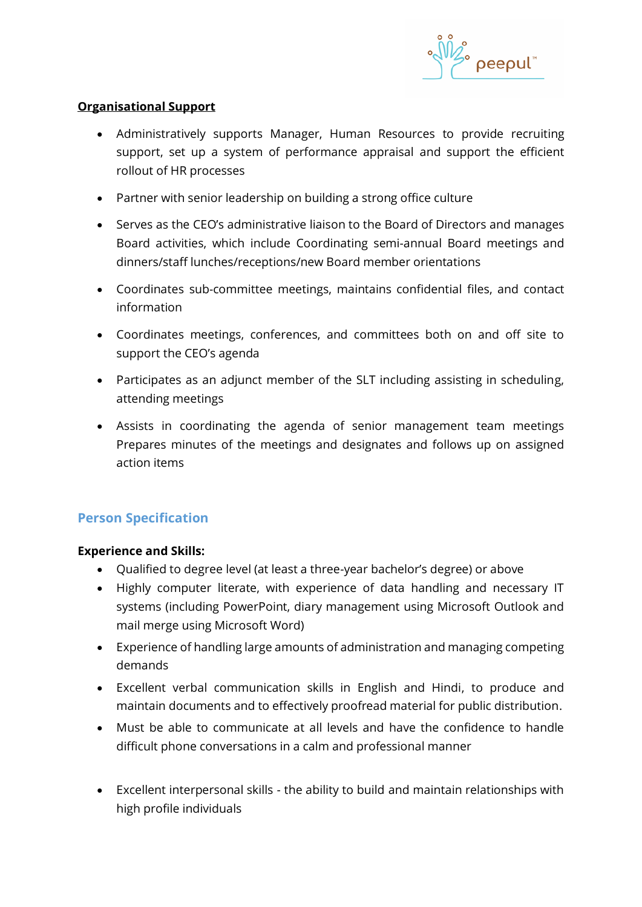

## **Organisational Support**

- Administratively supports Manager, Human Resources to provide recruiting support, set up a system of performance appraisal and support the efficient rollout of HR processes
- Partner with senior leadership on building a strong office culture
- Serves as the CEO's administrative liaison to the Board of Directors and manages Board activities, which include Coordinating semi-annual Board meetings and dinners/staff lunches/receptions/new Board member orientations
- Coordinates sub-committee meetings, maintains confidential files, and contact information
- Coordinates meetings, conferences, and committees both on and off site to support the CEO's agenda
- Participates as an adjunct member of the SLT including assisting in scheduling, attending meetings
- Assists in coordinating the agenda of senior management team meetings Prepares minutes of the meetings and designates and follows up on assigned action items

## **Person Specification**

### **Experience and Skills:**

- Qualified to degree level (at least a three-year bachelor's degree) or above
- Highly computer literate, with experience of data handling and necessary IT systems (including PowerPoint, diary management using Microsoft Outlook and mail merge using Microsoft Word)
- Experience of handling large amounts of administration and managing competing demands
- Excellent verbal communication skills in English and Hindi, to produce and maintain documents and to effectively proofread material for public distribution.
- Must be able to communicate at all levels and have the confidence to handle difficult phone conversations in a calm and professional manner
- Excellent interpersonal skills the ability to build and maintain relationships with high profile individuals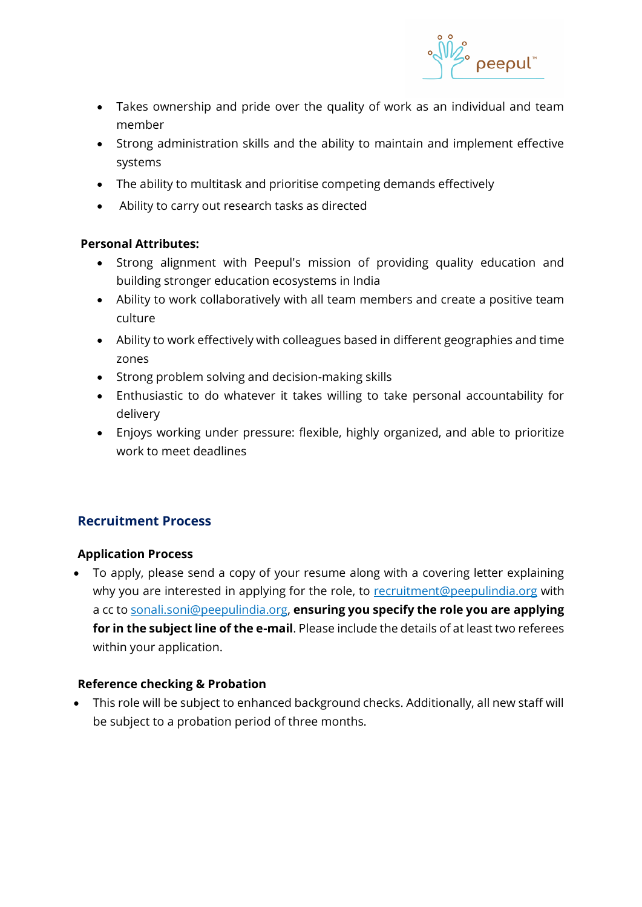

- Takes ownership and pride over the quality of work as an individual and team member
- Strong administration skills and the ability to maintain and implement effective systems
- The ability to multitask and prioritise competing demands effectively
- Ability to carry out research tasks as directed

## **Personal Attributes:**

- Strong alignment with Peepul's mission of providing quality education and building stronger education ecosystems in India
- Ability to work collaboratively with all team members and create a positive team culture
- Ability to work effectively with colleagues based in different geographies and time zones
- Strong problem solving and decision-making skills
- Enthusiastic to do whatever it takes willing to take personal accountability for delivery
- Enjoys working under pressure: flexible, highly organized, and able to prioritize work to meet deadlines

## **Recruitment Process**

## **Application Process**

• To apply, please send a copy of your resume along with a covering letter explaining why you are interested in applying for the role, to [recruitment@peepulindia.org](mailto:recruitment@peepulindia.org) with a cc to [sonali.soni@peepulindia.org,](mailto:sonali.soni@peepulindia.org) **ensuring you specify the role you are applying for in the subject line of the e-mail**. Please include the details of at least two referees within your application.

## **Reference checking & Probation**

• This role will be subject to enhanced background checks. Additionally, all new staff will be subject to a probation period of three months.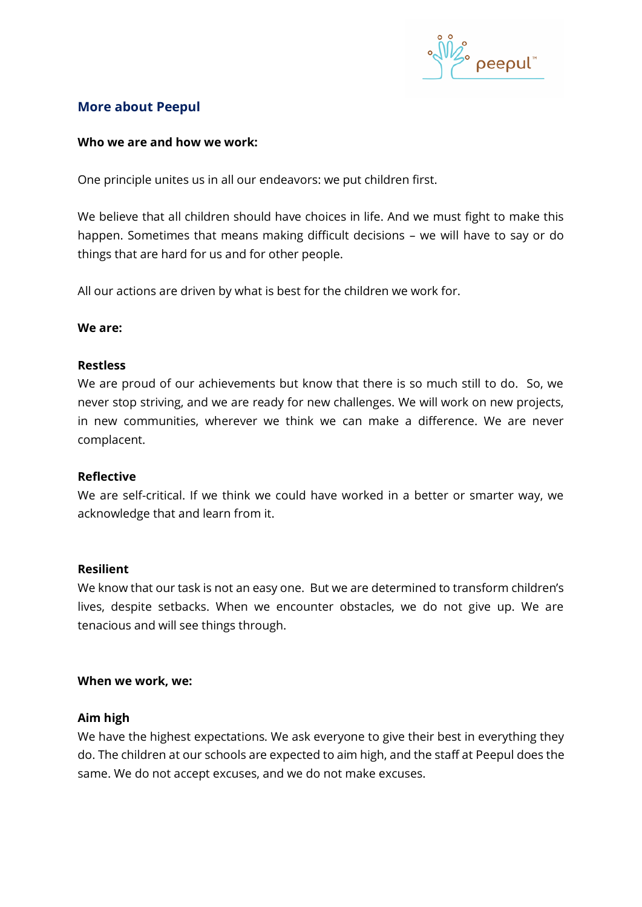

## **More about Peepul**

#### **Who we are and how we work:**

One principle unites us in all our endeavors: we put children first.

We believe that all children should have choices in life. And we must fight to make this happen. Sometimes that means making difficult decisions – we will have to say or do things that are hard for us and for other people.

All our actions are driven by what is best for the children we work for.

#### **We are:**

#### **Restless**

We are proud of our achievements but know that there is so much still to do. So, we never stop striving, and we are ready for new challenges. We will work on new projects, in new communities, wherever we think we can make a difference. We are never complacent.

#### **Reflective**

We are self-critical. If we think we could have worked in a better or smarter way, we acknowledge that and learn from it.

#### **Resilient**

We know that our task is not an easy one. But we are determined to transform children's lives, despite setbacks. When we encounter obstacles, we do not give up. We are tenacious and will see things through.

### **When we work, we:**

### **Aim high**

We have the highest expectations. We ask everyone to give their best in everything they do. The children at our schools are expected to aim high, and the staff at Peepul does the same. We do not accept excuses, and we do not make excuses.